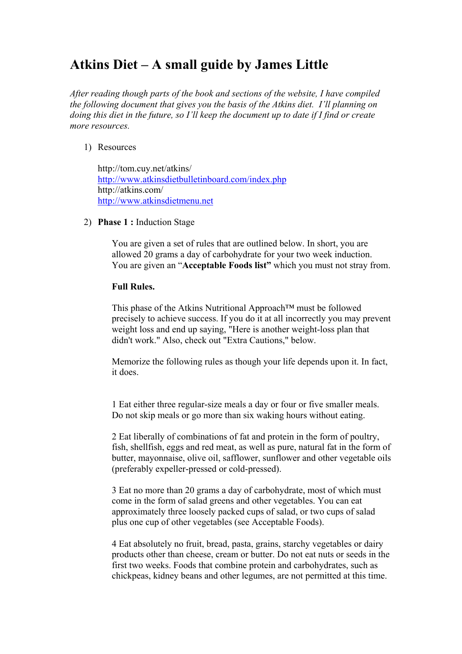# **Atkins Diet – A small guide by James Little**

*After reading though parts of the book and sections of the website, I have compiled the following document that gives you the basis of the Atkins diet. I'll planning on doing this diet in the future, so I'll keep the document up to date if I find or create more resources.*

## 1) Resources

http://tom.cuy.net/atkins/ <http://www.atkinsdietbulletinboard.com/index.php> http://atkins.com/ [http://www.atkinsdietmenu.net](http://www.atkinsdietmenu.net/)

2) **Phase 1 :** Induction Stage

You are given a set of rules that are outlined below. In short, you are allowed 20 grams a day of carbohydrate for your two week induction. You are given an "**Acceptable Foods list"** which you must not stray from.

## **Full Rules.**

This phase of the Atkins Nutritional Approach™ must be followed precisely to achieve success. If you do it at all incorrectly you may prevent weight loss and end up saying, "Here is another weight-loss plan that didn't work." Also, check out "Extra Cautions," below.

Memorize the following rules as though your life depends upon it. In fact, it does.

1 Eat either three regular-size meals a day or four or five smaller meals. Do not skip meals or go more than six waking hours without eating.

2 Eat liberally of combinations of fat and protein in the form of poultry, fish, shellfish, eggs and red meat, as well as pure, natural fat in the form of butter, mayonnaise, olive oil, safflower, sunflower and other vegetable oils (preferably expeller-pressed or cold-pressed).

3 Eat no more than 20 grams a day of carbohydrate, most of which must come in the form of salad greens and other vegetables. You can eat approximately three loosely packed cups of salad, or two cups of salad plus one cup of other vegetables (see Acceptable Foods).

4 Eat absolutely no fruit, bread, pasta, grains, starchy vegetables or dairy products other than cheese, cream or butter. Do not eat nuts or seeds in the first two weeks. Foods that combine protein and carbohydrates, such as chickpeas, kidney beans and other legumes, are not permitted at this time.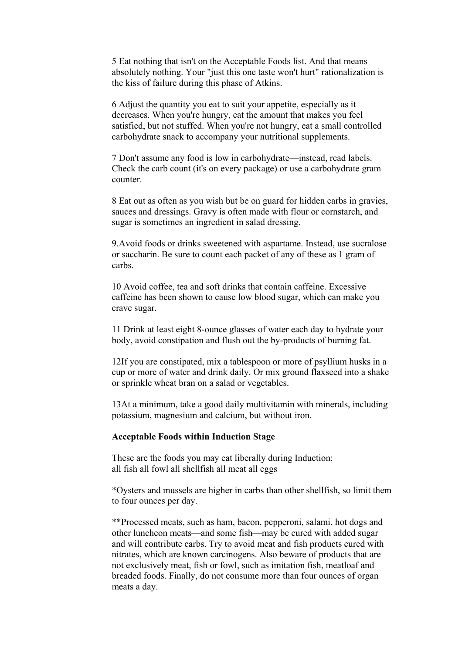5 Eat nothing that isn't on the Acceptable Foods list. And that means absolutely nothing. Your "just this one taste won't hurt" rationalization is the kiss of failure during this phase of Atkins.

6 Adjust the quantity you eat to suit your appetite, especially as it decreases. When you're hungry, eat the amount that makes you feel satisfied, but not stuffed. When you're not hungry, eat a small controlled carbohydrate snack to accompany your nutritional supplements.

7 Don't assume any food is low in carbohydrate—instead, read labels. Check the carb count (it's on every package) or use a carbohydrate gram counter.

8 Eat out as often as you wish but be on guard for hidden carbs in gravies, sauces and dressings. Gravy is often made with flour or cornstarch, and sugar is sometimes an ingredient in salad dressing.

9.Avoid foods or drinks sweetened with aspartame. Instead, use sucralose or saccharin. Be sure to count each packet of any of these as 1 gram of carbs.

10 Avoid coffee, tea and soft drinks that contain caffeine. Excessive caffeine has been shown to cause low blood sugar, which can make you crave sugar.

11 Drink at least eight 8-ounce glasses of water each day to hydrate your body, avoid constipation and flush out the by-products of burning fat.

12If you are constipated, mix a tablespoon or more of psyllium husks in a cup or more of water and drink daily. Or mix ground flaxseed into a shake or sprinkle wheat bran on a salad or vegetables.

13At a minimum, take a good daily multivitamin with minerals, including potassium, magnesium and calcium, but without iron.

#### **Acceptable Foods within Induction Stage**

These are the foods you may eat liberally during Induction: all fish all fowl all shellfish all meat all eggs

\*Oysters and mussels are higher in carbs than other shellfish, so limit them to four ounces per day.

\*\*Processed meats, such as ham, bacon, pepperoni, salami, hot dogs and other luncheon meats—and some fish—may be cured with added sugar and will contribute carbs. Try to avoid meat and fish products cured with nitrates, which are known carcinogens. Also beware of products that are not exclusively meat, fish or fowl, such as imitation fish, meatloaf and breaded foods. Finally, do not consume more than four ounces of organ meats a day.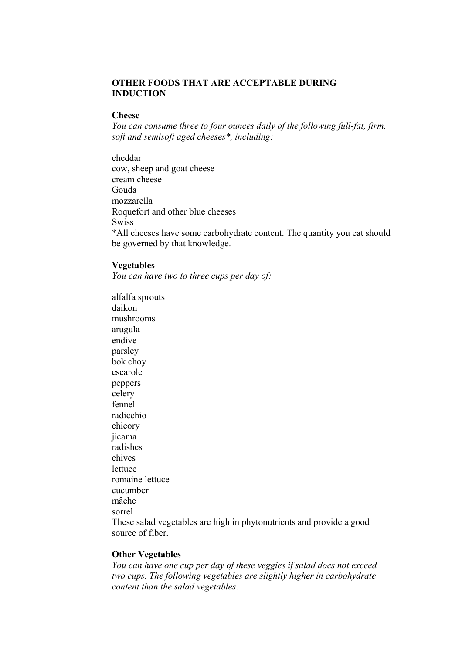## **OTHER FOODS THAT ARE ACCEPTABLE DURING INDUCTION**

#### **Cheese**

*You can consume three to four ounces daily of the following full-fat, firm, soft and semisoft aged cheeses\*, including:*

cheddar cow, sheep and goat cheese cream cheese Gouda mozzarella Roquefort and other blue cheeses Swiss \*All cheeses have some carbohydrate content. The quantity you eat should be governed by that knowledge.

#### **Vegetables**

*You can have two to three cups per day of:*

alfalfa sprouts daikon mushrooms arugula endive parsley bok choy escarole peppers celery fennel radicchio chicory jicama radishes chives lettuce romaine lettuce cucumber mâche sorrel These salad vegetables are high in phytonutrients and provide a good source of fiber.

#### **Other Vegetables**

*You can have one cup per day of these veggies if salad does not exceed two cups. The following vegetables are slightly higher in carbohydrate content than the salad vegetables:*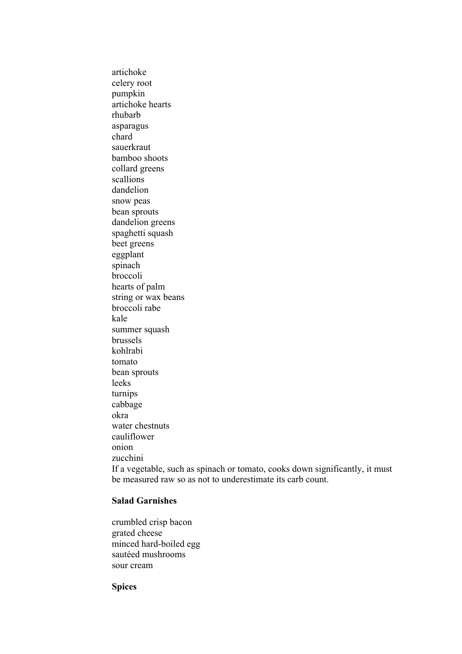artichoke celery root pumpkin artichoke hearts rhubarb asparagus chard sauerkraut bamboo shoots collard greens scallions dandelion snow peas bean sprouts dandelion greens spaghetti squash beet greens eggplant spinach broccoli hearts of palm string or wax beans broccoli rabe kale summer squash brussels kohlrabi tomato bean sprouts leeks turnips cabbage okra water chestnuts cauliflower onion zucchini If a vegetable, such as spinach or tomato, cooks down significantly, it must be measured raw so as not to underestimate its carb count.

## **Salad Garnishes**

crumbled crisp bacon grated cheese minced hard-boiled egg sautéed mushrooms sour cream

**Spices**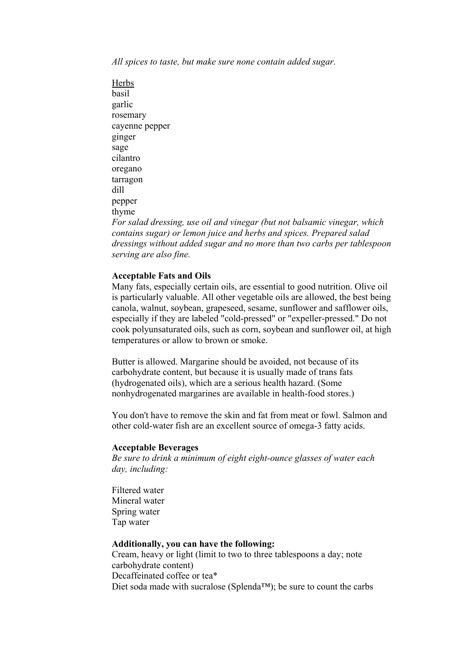*All spices to taste, but make sure none contain added sugar.*

**Herbs** basil garlic rosemary cayenne pepper ginger sage cilantro oregano tarragon dill pepper thyme *For salad dressing, use oil and vinegar (but not balsamic vinegar, which contains sugar) or lemon juice and herbs and spices. Prepared salad dressings without added sugar and no more than two carbs per tablespoon serving are also fine.*

#### **Acceptable Fats and Oils**

Many fats, especially certain oils, are essential to good nutrition. Olive oil is particularly valuable. All other vegetable oils are allowed, the best being canola, walnut, soybean, grapeseed, sesame, sunflower and safflower oils, especially if they are labeled "cold-pressed" or "expeller-pressed." Do not cook polyunsaturated oils, such as corn, soybean and sunflower oil, at high temperatures or allow to brown or smoke.

Butter is allowed. Margarine should be avoided, not because of its carbohydrate content, but because it is usually made of trans fats (hydrogenated oils), which are a serious health hazard. (Some nonhydrogenated margarines are available in health-food stores.)

You don't have to remove the skin and fat from meat or fowl. Salmon and other cold-water fish are an excellent source of omega-3 fatty acids.

#### **Acceptable Beverages**

*Be sure to drink a minimum of eight eight-ounce glasses of water each day, including:* 

Filtered water Mineral water Spring water Tap water

#### **Additionally, you can have the following:**

Cream, heavy or light (limit to two to three tablespoons a day; note carbohydrate content) Decaffeinated coffee or tea\* Diet soda made with sucralose (Splenda™); be sure to count the carbs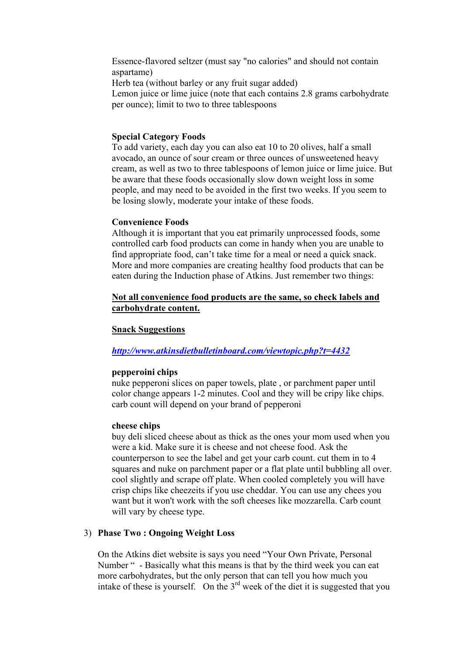Essence-flavored seltzer (must say "no calories" and should not contain aspartame)

Herb tea (without barley or any fruit sugar added) Lemon juice or lime juice (note that each contains 2.8 grams carbohydrate per ounce); limit to two to three tablespoons

#### **Special Category Foods**

To add variety, each day you can also eat 10 to 20 olives, half a small avocado, an ounce of sour cream or three ounces of unsweetened heavy cream, as well as two to three tablespoons of lemon juice or lime juice. But be aware that these foods occasionally slow down weight loss in some people, and may need to be avoided in the first two weeks. If you seem to be losing slowly, moderate your intake of these foods.

#### **Convenience Foods**

Although it is important that you eat primarily unprocessed foods, some controlled carb food products can come in handy when you are unable to find appropriate food, can't take time for a meal or need a quick snack. More and more companies are creating healthy food products that can be eaten during the Induction phase of Atkins. Just remember two things:

## **Not all convenience food products are the same, so check labels and carbohydrate content.**

#### **Snack Suggestions**

## *<http://www.atkinsdietbulletinboard.com/viewtopic.php?t=4432>*

## **pepperoini chips**

nuke pepperoni slices on paper towels, plate , or parchment paper until color change appears 1-2 minutes. Cool and they will be cripy like chips. carb count will depend on your brand of pepperoni

#### **cheese chips**

buy deli sliced cheese about as thick as the ones your mom used when you were a kid. Make sure it is cheese and not cheese food. Ask the counterperson to see the label and get your carb count. cut them in to 4 squares and nuke on parchment paper or a flat plate until bubbling all over. cool slightly and scrape off plate. When cooled completely you will have crisp chips like cheezeits if you use cheddar. You can use any chees you want but it won't work with the soft cheeses like mozzarella. Carb count will vary by cheese type.

## 3) **Phase Two : Ongoing Weight Loss**

On the Atkins diet website is says you need "Your Own Private, Personal Number " - Basically what this means is that by the third week you can eat more carbohydrates, but the only person that can tell you how much you intake of these is yourself. On the  $3<sup>rd</sup>$  week of the diet it is suggested that you